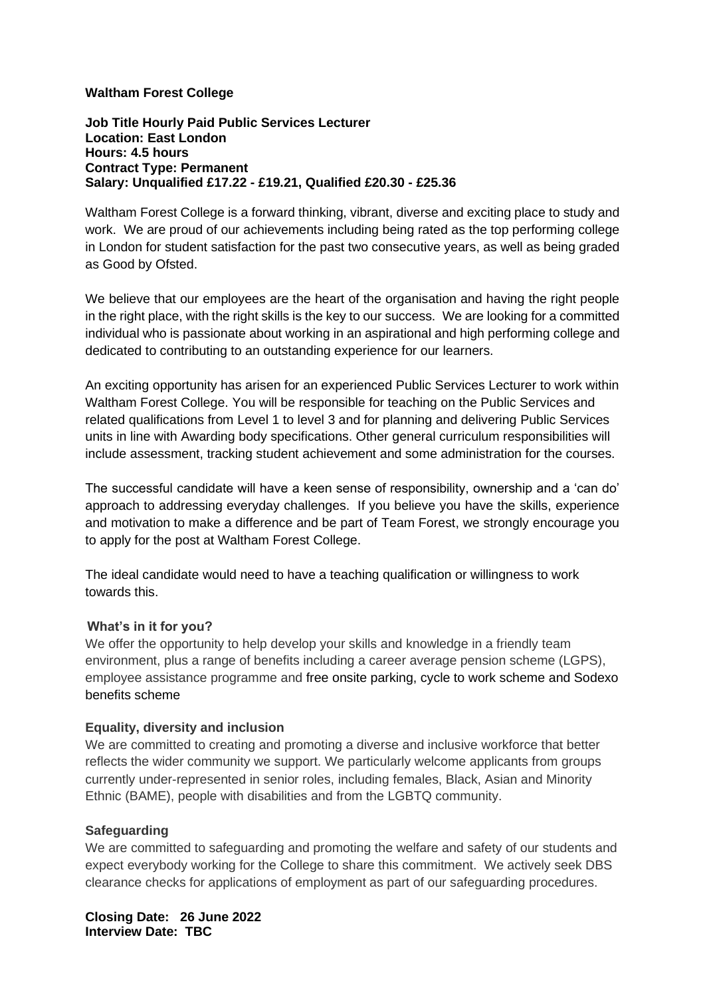## **Waltham Forest College**

**Job Title Hourly Paid Public Services Lecturer Location: East London Hours: 4.5 hours Contract Type: Permanent Salary: Unqualified £17.22 - £19.21, Qualified £20.30 - £25.36**

Waltham Forest College is a forward thinking, vibrant, diverse and exciting place to study and work. We are proud of our achievements including being rated as the top performing college in London for student satisfaction for the past two consecutive years, as well as being graded as Good by Ofsted.

We believe that our employees are the heart of the organisation and having the right people in the right place, with the right skills is the key to our success. We are looking for a committed individual who is passionate about working in an aspirational and high performing college and dedicated to contributing to an outstanding experience for our learners.

An exciting opportunity has arisen for an experienced Public Services Lecturer to work within Waltham Forest College. You will be responsible for teaching on the Public Services and related qualifications from Level 1 to level 3 and for planning and delivering Public Services units in line with Awarding body specifications. Other general curriculum responsibilities will include assessment, tracking student achievement and some administration for the courses.

The successful candidate will have a keen sense of responsibility, ownership and a 'can do' approach to addressing everyday challenges. If you believe you have the skills, experience and motivation to make a difference and be part of Team Forest, we strongly encourage you to apply for the post at Waltham Forest College.

The ideal candidate would need to have a teaching qualification or willingness to work towards this.

## **What's in it for you?**

We offer the opportunity to help develop your skills and knowledge in a friendly team environment, plus a range of benefits including a career average pension scheme (LGPS), employee assistance programme and free onsite parking, cycle to work scheme and Sodexo benefits scheme

## **Equality, diversity and inclusion**

We are committed to creating and promoting a diverse and inclusive workforce that better reflects the wider community we support. We particularly welcome applicants from groups currently under-represented in senior roles, including females, Black, Asian and Minority Ethnic (BAME), people with disabilities and from the LGBTQ community.

## **Safeguarding**

We are committed to safeguarding and promoting the welfare and safety of our students and expect everybody working for the College to share this commitment. We actively seek DBS clearance checks for applications of employment as part of our safeguarding procedures.

**Closing Date: 26 June 2022 Interview Date: TBC**